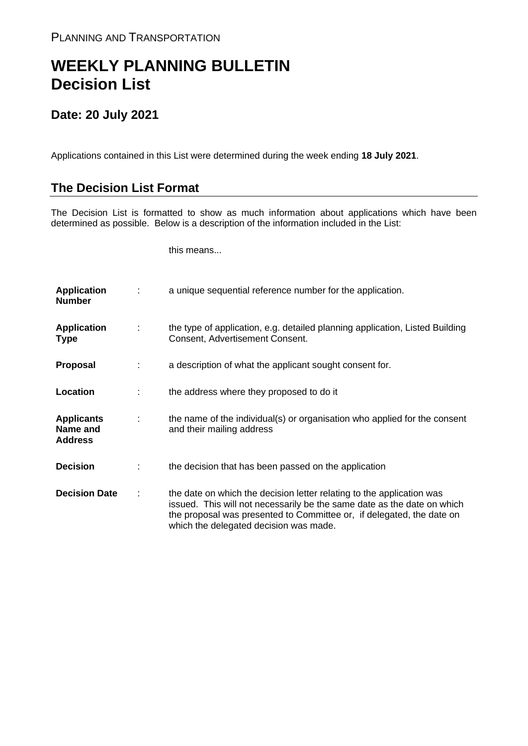## **WEEKLY PLANNING BULLETIN Decision List**

## **Date: 20 July 2021**

Applications contained in this List were determined during the week ending **18 July 2021**.

## **The Decision List Format**

The Decision List is formatted to show as much information about applications which have been determined as possible. Below is a description of the information included in the List:

this means...

| <b>Application</b><br><b>Number</b>             |   | a unique sequential reference number for the application.                                                                                                                                                                                                           |
|-------------------------------------------------|---|---------------------------------------------------------------------------------------------------------------------------------------------------------------------------------------------------------------------------------------------------------------------|
| <b>Application</b><br><b>Type</b>               | ÷ | the type of application, e.g. detailed planning application, Listed Building<br>Consent, Advertisement Consent.                                                                                                                                                     |
| Proposal                                        |   | a description of what the applicant sought consent for.                                                                                                                                                                                                             |
| Location                                        |   | the address where they proposed to do it                                                                                                                                                                                                                            |
| <b>Applicants</b><br>Name and<br><b>Address</b> | ÷ | the name of the individual(s) or organisation who applied for the consent<br>and their mailing address                                                                                                                                                              |
| <b>Decision</b>                                 |   | the decision that has been passed on the application                                                                                                                                                                                                                |
| <b>Decision Date</b>                            | ÷ | the date on which the decision letter relating to the application was<br>issued. This will not necessarily be the same date as the date on which<br>the proposal was presented to Committee or, if delegated, the date on<br>which the delegated decision was made. |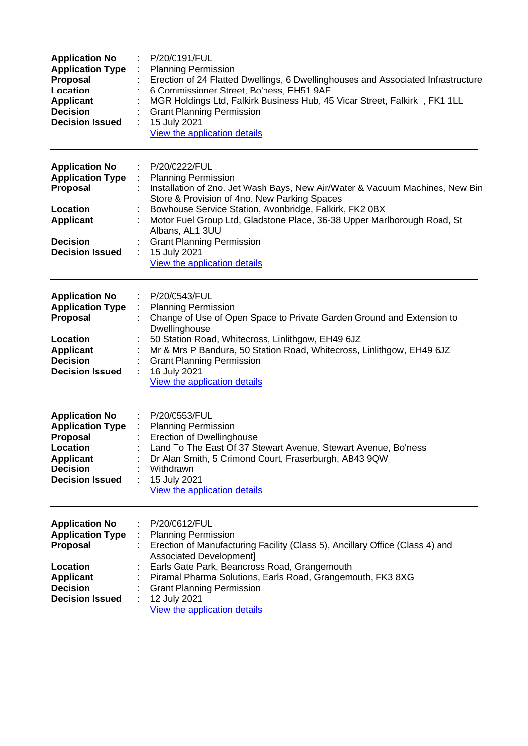| <b>Application No</b><br><b>Application Type</b><br>Proposal<br>Location<br><b>Applicant</b><br><b>Decision</b><br><b>Decision Issued</b>        | P/20/0191/FUL<br><b>Planning Permission</b><br>÷<br>Erection of 24 Flatted Dwellings, 6 Dwellinghouses and Associated Infrastructure<br>6 Commissioner Street, Bo'ness, EH51 9AF<br>MGR Holdings Ltd, Falkirk Business Hub, 45 Vicar Street, Falkirk, FK1 1LL<br><b>Grant Planning Permission</b><br>15 July 2021<br>View the application details                                                                       |
|--------------------------------------------------------------------------------------------------------------------------------------------------|-------------------------------------------------------------------------------------------------------------------------------------------------------------------------------------------------------------------------------------------------------------------------------------------------------------------------------------------------------------------------------------------------------------------------|
| <b>Application No</b><br><b>Application Type</b><br><b>Proposal</b><br>Location<br><b>Applicant</b><br><b>Decision</b><br><b>Decision Issued</b> | P/20/0222/FUL<br><b>Planning Permission</b><br>Installation of 2no. Jet Wash Bays, New Air/Water & Vacuum Machines, New Bin<br>Store & Provision of 4no. New Parking Spaces<br>Bowhouse Service Station, Avonbridge, Falkirk, FK2 0BX<br>Motor Fuel Group Ltd, Gladstone Place, 36-38 Upper Marlborough Road, St<br>Albans, AL1 3UU<br><b>Grant Planning Permission</b><br>15 July 2021<br>View the application details |
| <b>Application No</b><br><b>Application Type</b><br><b>Proposal</b><br>Location<br><b>Applicant</b><br><b>Decision</b><br><b>Decision Issued</b> | P/20/0543/FUL<br><b>Planning Permission</b><br>Change of Use of Open Space to Private Garden Ground and Extension to<br>Dwellinghouse<br>50 Station Road, Whitecross, Linlithgow, EH49 6JZ<br>Mr & Mrs P Bandura, 50 Station Road, Whitecross, Linlithgow, EH49 6JZ<br><b>Grant Planning Permission</b><br>16 July 2021<br>View the application details                                                                 |
| <b>Application No</b><br><b>Application Type</b><br><b>Proposal</b><br>Location<br><b>Applicant</b><br><b>Decision</b><br><b>Decision Issued</b> | : P/20/0553/FUL<br>: Planning Permission<br><b>Erection of Dwellinghouse</b><br>Land To The East Of 37 Stewart Avenue, Stewart Avenue, Bo'ness<br>Dr Alan Smith, 5 Crimond Court, Fraserburgh, AB43 9QW<br>Withdrawn<br>15 July 2021<br>View the application details                                                                                                                                                    |
| <b>Application No</b><br><b>Application Type</b><br><b>Proposal</b><br>Location<br><b>Applicant</b><br><b>Decision</b><br><b>Decision Issued</b> | P/20/0612/FUL<br>: Planning Permission<br>Erection of Manufacturing Facility (Class 5), Ancillary Office (Class 4) and<br><b>Associated Development]</b><br>Earls Gate Park, Beancross Road, Grangemouth<br>Piramal Pharma Solutions, Earls Road, Grangemouth, FK3 8XG<br><b>Grant Planning Permission</b><br>12 July 2021<br>View the application details                                                              |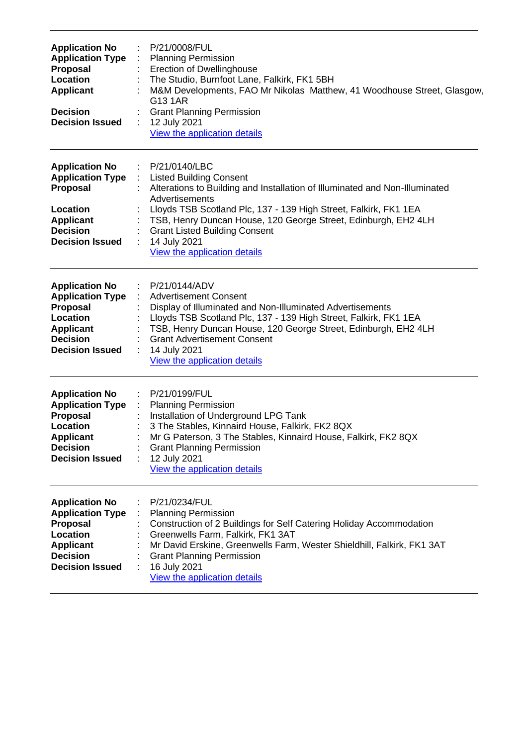| <b>Application No</b><br><b>Application Type</b><br>Proposal<br>Location<br><b>Applicant</b><br><b>Decision</b><br><b>Decision Issued</b>                 | P/21/0008/FUL<br><b>Planning Permission</b><br><b>Erection of Dwellinghouse</b><br>The Studio, Burnfoot Lane, Falkirk, FK1 5BH<br>M&M Developments, FAO Mr Nikolas Matthew, 41 Woodhouse Street, Glasgow,<br>G13 1AR<br><b>Grant Planning Permission</b><br>12 July 2021<br>÷<br>View the application details                                                                       |
|-----------------------------------------------------------------------------------------------------------------------------------------------------------|-------------------------------------------------------------------------------------------------------------------------------------------------------------------------------------------------------------------------------------------------------------------------------------------------------------------------------------------------------------------------------------|
| <b>Application No</b><br><b>Application Type</b><br>Proposal<br>Location<br><b>Applicant</b><br><b>Decision</b><br><b>Decision Issued</b>                 | P/21/0140/LBC<br>÷<br><b>Listed Building Consent</b><br>Alterations to Building and Installation of Illuminated and Non-Illuminated<br>Advertisements<br>Lloyds TSB Scotland Plc, 137 - 139 High Street, Falkirk, FK1 1EA<br>TSB, Henry Duncan House, 120 George Street, Edinburgh, EH2 4LH<br><b>Grant Listed Building Consent</b><br>14 July 2021<br>View the application details |
| <b>Application No</b><br><b>Application Type</b><br><b>Proposal</b><br>Location<br><b>Applicant</b><br><b>Decision</b><br><b>Decision Issued</b>          | P/21/0144/ADV<br><b>Advertisement Consent</b><br>Display of Illuminated and Non-Illuminated Advertisements<br>Lloyds TSB Scotland Plc, 137 - 139 High Street, Falkirk, FK1 1EA<br>TSB, Henry Duncan House, 120 George Street, Edinburgh, EH2 4LH<br><b>Grant Advertisement Consent</b><br>14 July 2021<br>View the application details                                              |
| <b>Application No</b><br><b>Application Type :</b><br><b>Proposal</b><br><b>Location</b><br><b>Applicant</b><br><b>Decision</b><br><b>Decision Issued</b> | : P/21/0199/FUL<br><b>Planning Permission</b><br>Installation of Underground LPG Tank<br>3 The Stables, Kinnaird House, Falkirk, FK2 8QX<br>Mr G Paterson, 3 The Stables, Kinnaird House, Falkirk, FK2 8QX<br><b>Grant Planning Permission</b><br>12 July 2021<br>÷<br>View the application details                                                                                 |
| <b>Application No</b><br><b>Application Type</b><br>Proposal<br>Location<br><b>Applicant</b><br><b>Decision</b><br><b>Decision Issued</b>                 | P/21/0234/FUL<br><b>Planning Permission</b><br>Construction of 2 Buildings for Self Catering Holiday Accommodation<br>Greenwells Farm, Falkirk, FK1 3AT<br>Mr David Erskine, Greenwells Farm, Wester Shieldhill, Falkirk, FK1 3AT<br><b>Grant Planning Permission</b><br>16 July 2021<br>View the application details                                                               |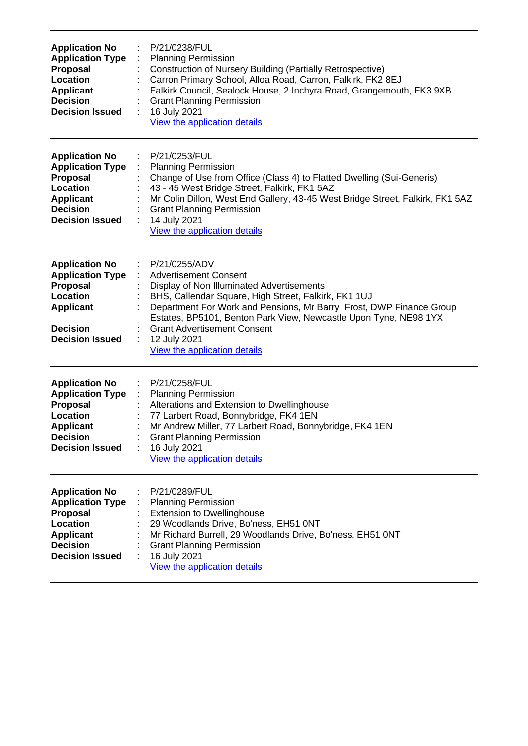| <b>Application No</b><br><b>Application Type</b><br>Proposal<br>Location<br><b>Applicant</b><br><b>Decision</b><br><b>Decision Issued</b> | P/21/0238/FUL<br><b>Planning Permission</b><br>Construction of Nursery Building (Partially Retrospective)<br>Carron Primary School, Alloa Road, Carron, Falkirk, FK2 8EJ<br>Falkirk Council, Sealock House, 2 Inchyra Road, Grangemouth, FK3 9XB<br><b>Grant Planning Permission</b><br>16 July 2021<br>View the application details                                                |
|-------------------------------------------------------------------------------------------------------------------------------------------|-------------------------------------------------------------------------------------------------------------------------------------------------------------------------------------------------------------------------------------------------------------------------------------------------------------------------------------------------------------------------------------|
| <b>Application No</b><br><b>Application Type</b><br>Proposal<br>Location<br><b>Applicant</b><br><b>Decision</b><br><b>Decision Issued</b> | P/21/0253/FUL<br>÷<br><b>Planning Permission</b><br>Change of Use from Office (Class 4) to Flatted Dwelling (Sui-Generis)<br>43 - 45 West Bridge Street, Falkirk, FK1 5AZ<br>Mr Colin Dillon, West End Gallery, 43-45 West Bridge Street, Falkirk, FK1 5AZ<br><b>Grant Planning Permission</b><br>14 July 2021<br>View the application details                                      |
| <b>Application No</b><br><b>Application Type</b><br>Proposal<br>Location<br><b>Applicant</b><br><b>Decision</b><br><b>Decision Issued</b> | P/21/0255/ADV<br><b>Advertisement Consent</b><br>Display of Non Illuminated Advertisements<br>BHS, Callendar Square, High Street, Falkirk, FK1 1UJ<br>Department For Work and Pensions, Mr Barry Frost, DWP Finance Group<br>Estates, BP5101, Benton Park View, Newcastle Upon Tyne, NE98 1YX<br><b>Grant Advertisement Consent</b><br>12 July 2021<br>View the application details |
| <b>Application No</b><br><b>Application Type</b><br>Proposal<br>Location<br><b>Applicant</b><br><b>Decision</b><br><b>Decision Issued</b> | P/21/0258/FUL<br><b>Planning Permission</b><br>Alterations and Extension to Dwellinghouse<br>77 Larbert Road, Bonnybridge, FK4 1EN<br>Mr Andrew Miller, 77 Larbert Road, Bonnybridge, FK4 1EN<br><b>Grant Planning Permission</b><br>16 July 2021<br>View the application details                                                                                                   |
| <b>Application No</b><br><b>Application Type</b><br>Proposal<br>Location<br><b>Applicant</b><br><b>Decision</b><br><b>Decision Issued</b> | P/21/0289/FUL<br><b>Planning Permission</b><br><b>Extension to Dwellinghouse</b><br>29 Woodlands Drive, Bo'ness, EH51 0NT<br>Mr Richard Burrell, 29 Woodlands Drive, Bo'ness, EH51 0NT<br><b>Grant Planning Permission</b><br>16 July 2021<br>View the application details                                                                                                          |